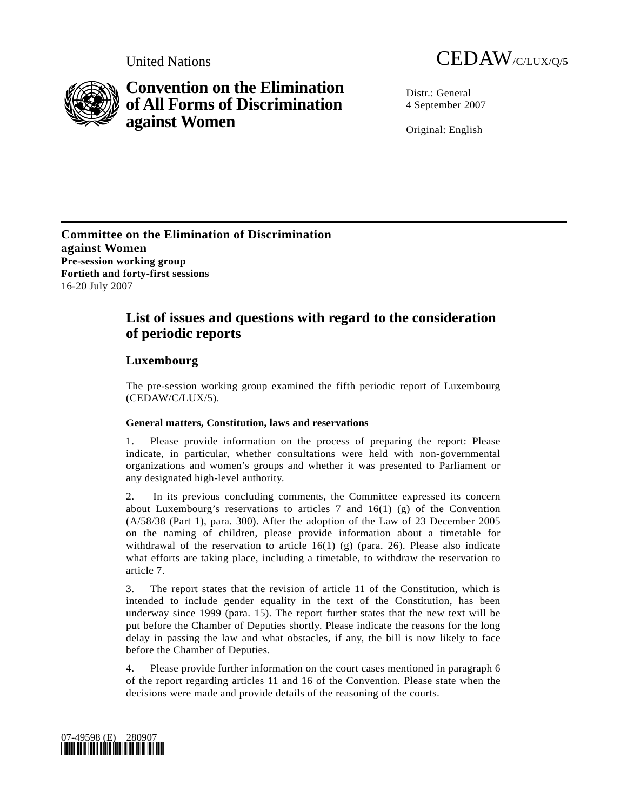



# **Convention on the Elimination of All Forms of Discrimination against Women**

Distr · General 4 September 2007

Original: English

**Committee on the Elimination of Discrimination against Women Pre-session working group Fortieth and forty-first sessions**  16-20 July 2007

## **List of issues and questions with regard to the consideration of periodic reports**

## **Luxembourg**

The pre-session working group examined the fifth periodic report of Luxembourg (CEDAW/C/LUX/5).

### **General matters, Constitution, laws and reservations**

1. Please provide information on the process of preparing the report: Please indicate, in particular, whether consultations were held with non-governmental organizations and women's groups and whether it was presented to Parliament or any designated high-level authority.

2. In its previous concluding comments, the Committee expressed its concern about Luxembourg's reservations to articles  $7$  and  $16(1)$  (g) of the Convention (A/58/38 (Part 1), para. 300). After the adoption of the Law of 23 December 2005 on the naming of children, please provide information about a timetable for withdrawal of the reservation to article  $16(1)$  (g) (para. 26). Please also indicate what efforts are taking place, including a timetable, to withdraw the reservation to article 7.

3. The report states that the revision of article 11 of the Constitution, which is intended to include gender equality in the text of the Constitution, has been underway since 1999 (para. 15). The report further states that the new text will be put before the Chamber of Deputies shortly. Please indicate the reasons for the long delay in passing the law and what obstacles, if any, the bill is now likely to face before the Chamber of Deputies.

4. Please provide further information on the court cases mentioned in paragraph 6 of the report regarding articles 11 and 16 of the Convention. Please state when the decisions were made and provide details of the reasoning of the courts.

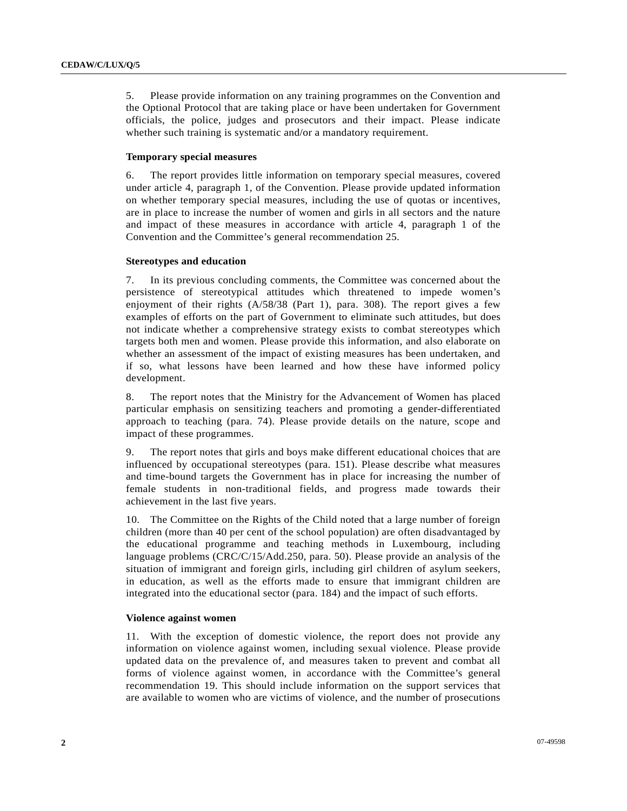5. Please provide information on any training programmes on the Convention and the Optional Protocol that are taking place or have been undertaken for Government officials, the police, judges and prosecutors and their impact. Please indicate whether such training is systematic and/or a mandatory requirement.

#### **Temporary special measures**

6. The report provides little information on temporary special measures, covered under article 4, paragraph 1, of the Convention. Please provide updated information on whether temporary special measures, including the use of quotas or incentives, are in place to increase the number of women and girls in all sectors and the nature and impact of these measures in accordance with article 4, paragraph 1 of the Convention and the Committee's general recommendation 25.

#### **Stereotypes and education**

7. In its previous concluding comments, the Committee was concerned about the persistence of stereotypical attitudes which threatened to impede women's enjoyment of their rights (A/58/38 (Part 1), para. 308). The report gives a few examples of efforts on the part of Government to eliminate such attitudes, but does not indicate whether a comprehensive strategy exists to combat stereotypes which targets both men and women. Please provide this information, and also elaborate on whether an assessment of the impact of existing measures has been undertaken, and if so, what lessons have been learned and how these have informed policy development.

8. The report notes that the Ministry for the Advancement of Women has placed particular emphasis on sensitizing teachers and promoting a gender-differentiated approach to teaching (para. 74). Please provide details on the nature, scope and impact of these programmes.

9. The report notes that girls and boys make different educational choices that are influenced by occupational stereotypes (para. 151). Please describe what measures and time-bound targets the Government has in place for increasing the number of female students in non-traditional fields, and progress made towards their achievement in the last five years.

10. The Committee on the Rights of the Child noted that a large number of foreign children (more than 40 per cent of the school population) are often disadvantaged by the educational programme and teaching methods in Luxembourg, including language problems (CRC/C/15/Add.250, para. 50). Please provide an analysis of the situation of immigrant and foreign girls, including girl children of asylum seekers, in education, as well as the efforts made to ensure that immigrant children are integrated into the educational sector (para. 184) and the impact of such efforts.

#### **Violence against women**

11. With the exception of domestic violence, the report does not provide any information on violence against women, including sexual violence. Please provide updated data on the prevalence of, and measures taken to prevent and combat all forms of violence against women, in accordance with the Committee's general recommendation 19. This should include information on the support services that are available to women who are victims of violence, and the number of prosecutions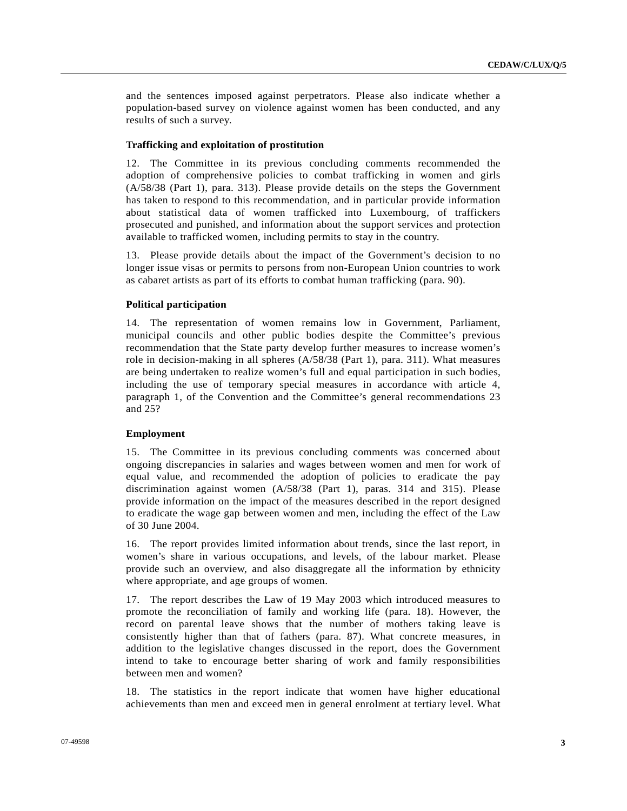and the sentences imposed against perpetrators. Please also indicate whether a population-based survey on violence against women has been conducted, and any results of such a survey.

#### **Trafficking and exploitation of prostitution**

12. The Committee in its previous concluding comments recommended the adoption of comprehensive policies to combat trafficking in women and girls (A/58/38 (Part 1), para. 313). Please provide details on the steps the Government has taken to respond to this recommendation, and in particular provide information about statistical data of women trafficked into Luxembourg, of traffickers prosecuted and punished, and information about the support services and protection available to trafficked women, including permits to stay in the country.

13. Please provide details about the impact of the Government's decision to no longer issue visas or permits to persons from non-European Union countries to work as cabaret artists as part of its efforts to combat human trafficking (para. 90).

#### **Political participation**

14. The representation of women remains low in Government, Parliament, municipal councils and other public bodies despite the Committee's previous recommendation that the State party develop further measures to increase women's role in decision-making in all spheres (A/58/38 (Part 1), para. 311). What measures are being undertaken to realize women's full and equal participation in such bodies, including the use of temporary special measures in accordance with article 4, paragraph 1, of the Convention and the Committee's general recommendations 23 and 25?

#### **Employment**

15. The Committee in its previous concluding comments was concerned about ongoing discrepancies in salaries and wages between women and men for work of equal value, and recommended the adoption of policies to eradicate the pay discrimination against women (A/58/38 (Part 1), paras. 314 and 315). Please provide information on the impact of the measures described in the report designed to eradicate the wage gap between women and men, including the effect of the Law of 30 June 2004.

16. The report provides limited information about trends, since the last report, in women's share in various occupations, and levels, of the labour market. Please provide such an overview, and also disaggregate all the information by ethnicity where appropriate, and age groups of women.

17. The report describes the Law of 19 May 2003 which introduced measures to promote the reconciliation of family and working life (para. 18). However, the record on parental leave shows that the number of mothers taking leave is consistently higher than that of fathers (para. 87). What concrete measures, in addition to the legislative changes discussed in the report, does the Government intend to take to encourage better sharing of work and family responsibilities between men and women?

18. The statistics in the report indicate that women have higher educational achievements than men and exceed men in general enrolment at tertiary level. What